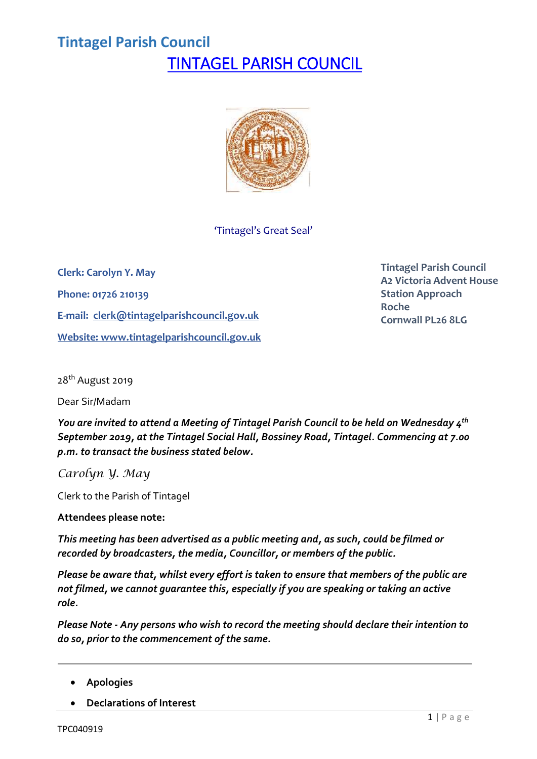# **Tintagel Parish Council** TINTAGEL PARISH COUNCIL



'Tintagel's Great Seal'

**Clerk: Carolyn Y. May Phone: 01726 210139 E-mail: [clerk@tintagelparishcouncil.gov.uk](mailto:clerk@tintagelparishcouncil.gov.uk) Website: [www.tintagelparishcouncil.gov.uk](http://www.tintagelparishcouncil.gov.uk/)** **Tintagel Parish Council A2 Victoria Advent House Station Approach Roche Cornwall PL26 8LG**

28<sup>th</sup> August 2019

Dear Sir/Madam

*You are invited to attend a Meeting of Tintagel Parish Council to be held on Wednesday 4 th September 2019, at the Tintagel Social Hall, Bossiney Road, Tintagel. Commencing at 7.00 p.m. to transact the business stated below.*

*Carolyn Y. May*

Clerk to the Parish of Tintagel

**Attendees please note:**

*This meeting has been advertised as a public meeting and, as such, could be filmed or recorded by broadcasters, the media, Councillor, or members of the public.*

*Please be aware that, whilst every effort is taken to ensure that members of the public are not filmed, we cannot guarantee this, especially if you are speaking or taking an active role.*

*Please Note - Any persons who wish to record the meeting should declare their intention to do so, prior to the commencement of the same.*

- **Apologies**
- **Declarations of Interest**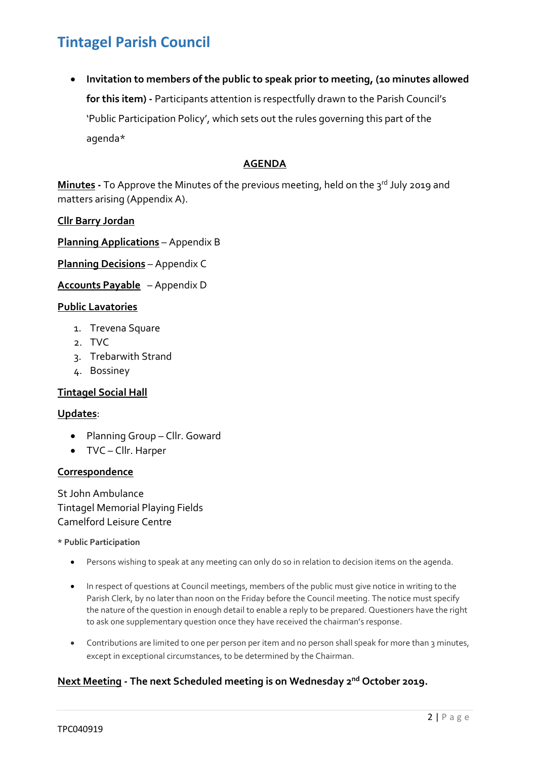• **Invitation to members of the public to speak prior to meeting, (10 minutes allowed for this item) -** Participants attention is respectfully drawn to the Parish Council's 'Public Participation Policy', which sets out the rules governing this part of the agenda\*

## **AGENDA**

**Minutes -** To Approve the Minutes of the previous meeting, held on the 3 rd July 2019 and matters arising (Appendix A).

## **Cllr Barry Jordan**

**Planning Applications** – Appendix B

**Planning Decisions** – Appendix C

**Accounts Payable** – Appendix D

### **Public Lavatories**

- 1. Trevena Square
- 2. TVC
- 3. Trebarwith Strand
- 4. Bossiney

## **Tintagel Social Hall**

### **Updates**:

- Planning Group Cllr. Goward
- TVC Cllr. Harper

### **Correspondence**

St John Ambulance Tintagel Memorial Playing Fields Camelford Leisure Centre

### **\* Public Participation**

- Persons wishing to speak at any meeting can only do so in relation to decision items on the agenda.
- In respect of questions at Council meetings, members of the public must give notice in writing to the Parish Clerk, by no later than noon on the Friday before the Council meeting. The notice must specify the nature of the question in enough detail to enable a reply to be prepared. Questioners have the right to ask one supplementary question once they have received the chairman's response.
- Contributions are limited to one per person per item and no person shall speak for more than 3 minutes, except in exceptional circumstances, to be determined by the Chairman.

## **Next Meeting - The next Scheduled meeting is on Wednesday 2 nd October 2019.**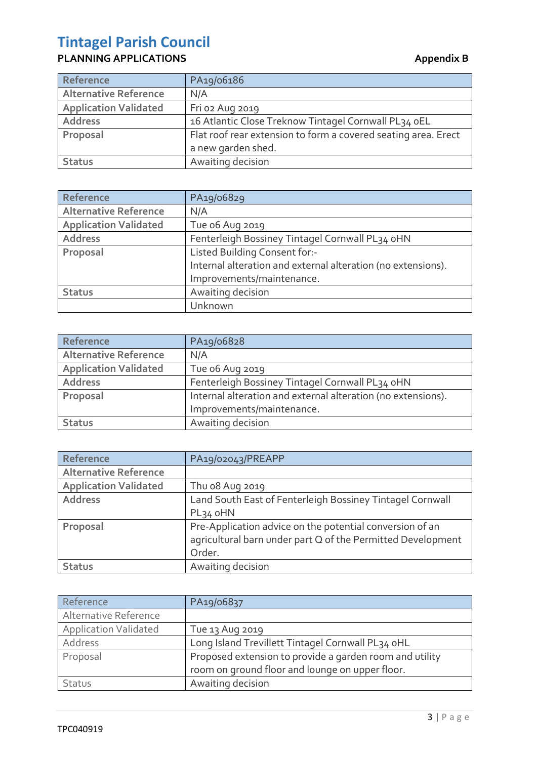## **PLANNING APPLICATIONS Appendix B**

| Reference                    | PA19/06186                                                                           |
|------------------------------|--------------------------------------------------------------------------------------|
| <b>Alternative Reference</b> | N/A                                                                                  |
| <b>Application Validated</b> | Fri 02 Aug 2019                                                                      |
| <b>Address</b>               | 16 Atlantic Close Treknow Tintagel Cornwall PL34 oEL                                 |
| Proposal                     | Flat roof rear extension to form a covered seating area. Erect<br>a new garden shed. |
| <b>Status</b>                | Awaiting decision                                                                    |

| Reference                    | PA19/06829                                                   |
|------------------------------|--------------------------------------------------------------|
| <b>Alternative Reference</b> | N/A                                                          |
| <b>Application Validated</b> | Tue o6 Aug 2019                                              |
| <b>Address</b>               | Fenterleigh Bossiney Tintagel Cornwall PL34 oHN              |
| Proposal                     | Listed Building Consent for:-                                |
|                              | Internal alteration and external alteration (no extensions). |
|                              | Improvements/maintenance.                                    |
| <b>Status</b>                | Awaiting decision                                            |
|                              | Unknown                                                      |

| Reference                    | PA19/06828                                                   |
|------------------------------|--------------------------------------------------------------|
| <b>Alternative Reference</b> | N/A                                                          |
| <b>Application Validated</b> | Tue o6 Aug 2019                                              |
| <b>Address</b>               | Fenterleigh Bossiney Tintagel Cornwall PL34 oHN              |
| Proposal                     | Internal alteration and external alteration (no extensions). |
|                              | Improvements/maintenance.                                    |
| <b>Status</b>                | Awaiting decision                                            |

| Reference                    | PA19/02043/PREAPP                                                                                                       |
|------------------------------|-------------------------------------------------------------------------------------------------------------------------|
| <b>Alternative Reference</b> |                                                                                                                         |
| <b>Application Validated</b> | Thu 08 Aug 2019                                                                                                         |
| <b>Address</b>               | Land South East of Fenterleigh Bossiney Tintagel Cornwall                                                               |
|                              | PL34 oHN                                                                                                                |
| Proposal                     | Pre-Application advice on the potential conversion of an<br>agricultural barn under part Q of the Permitted Development |
|                              | Order.                                                                                                                  |
| <b>Status</b>                | Awaiting decision                                                                                                       |

| Reference                    | PA19/06837                                              |
|------------------------------|---------------------------------------------------------|
| Alternative Reference        |                                                         |
| <b>Application Validated</b> | Tue 13 Aug 2019                                         |
| Address                      | Long Island Trevillett Tintagel Cornwall PL34 oHL       |
| Proposal                     | Proposed extension to provide a garden room and utility |
|                              | room on ground floor and lounge on upper floor.         |
| Status                       | Awaiting decision                                       |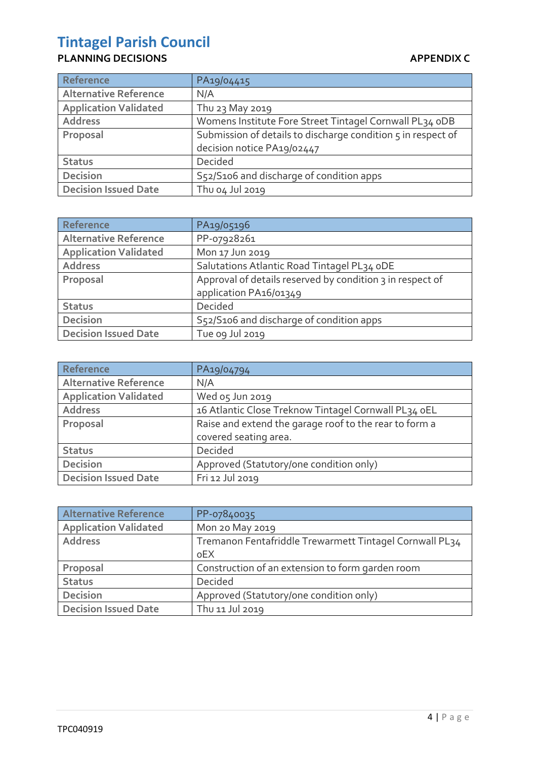## **PLANNING DECISIONS** APPENDIX C

J.

| <b>Reference</b>             | PA19/04415                                                   |
|------------------------------|--------------------------------------------------------------|
| <b>Alternative Reference</b> | N/A                                                          |
| <b>Application Validated</b> | Thu 23 May 2019                                              |
| <b>Address</b>               | Womens Institute Fore Street Tintagel Cornwall PL34 oDB      |
| Proposal                     | Submission of details to discharge condition 5 in respect of |
|                              | decision notice PA19/02447                                   |
| <b>Status</b>                | Decided                                                      |
| <b>Decision</b>              | S52/S106 and discharge of condition apps                     |
| <b>Decision Issued Date</b>  | Thu 04 Jul 2019                                              |

| Reference                    | PA19/05196                                                |
|------------------------------|-----------------------------------------------------------|
| <b>Alternative Reference</b> | PP-07928261                                               |
| <b>Application Validated</b> | Mon 17 Jun 2019                                           |
| <b>Address</b>               | Salutations Atlantic Road Tintagel PL34 oDE               |
| Proposal                     | Approval of details reserved by condition 3 in respect of |
|                              | application PA16/01349                                    |
| <b>Status</b>                | Decided                                                   |
| <b>Decision</b>              | S52/S106 and discharge of condition apps                  |
| <b>Decision Issued Date</b>  | Tue og Jul 2019                                           |

| Reference                    | PA19/04794                                             |
|------------------------------|--------------------------------------------------------|
| <b>Alternative Reference</b> | N/A                                                    |
| <b>Application Validated</b> | Wed os Jun 2019                                        |
| <b>Address</b>               | 16 Atlantic Close Treknow Tintagel Cornwall PL34 oEL   |
| Proposal                     | Raise and extend the garage roof to the rear to form a |
|                              | covered seating area.                                  |
| <b>Status</b>                | Decided                                                |
| <b>Decision</b>              | Approved (Statutory/one condition only)                |
| <b>Decision Issued Date</b>  | Fri 12 Jul 2019                                        |

| <b>Alternative Reference</b> | PP-07840035                                             |
|------------------------------|---------------------------------------------------------|
| <b>Application Validated</b> | Mon 20 May 2019                                         |
| <b>Address</b>               | Tremanon Fentafriddle Trewarmett Tintagel Cornwall PL34 |
|                              | <sub>o</sub> EX                                         |
| Proposal                     | Construction of an extension to form garden room        |
| <b>Status</b>                | Decided                                                 |
| <b>Decision</b>              | Approved (Statutory/one condition only)                 |
| <b>Decision Issued Date</b>  | Thu 11 Jul 2019                                         |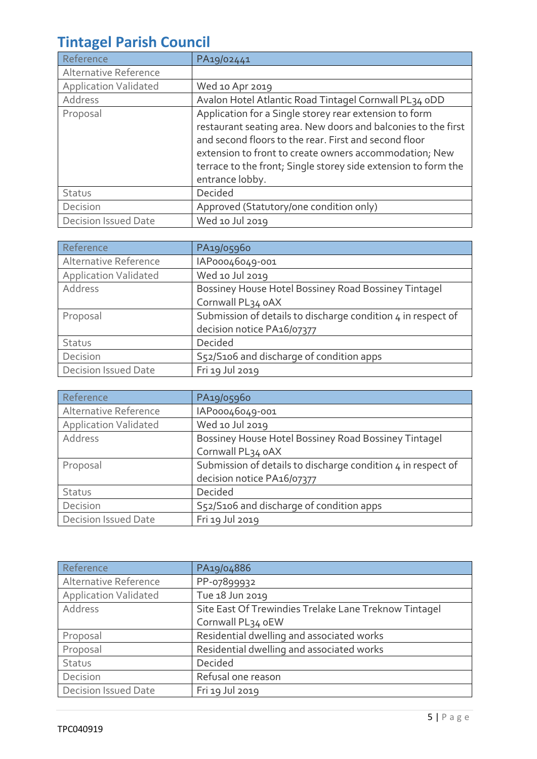| Reference                    | PA19/02441                                                                                                                                                                                                                                                                                                                      |
|------------------------------|---------------------------------------------------------------------------------------------------------------------------------------------------------------------------------------------------------------------------------------------------------------------------------------------------------------------------------|
| Alternative Reference        |                                                                                                                                                                                                                                                                                                                                 |
| <b>Application Validated</b> | Wed 10 Apr 2019                                                                                                                                                                                                                                                                                                                 |
| Address                      | Avalon Hotel Atlantic Road Tintagel Cornwall PL34 oDD                                                                                                                                                                                                                                                                           |
| Proposal                     | Application for a Single storey rear extension to form<br>restaurant seating area. New doors and balconies to the first<br>and second floors to the rear. First and second floor<br>extension to front to create owners accommodation; New<br>terrace to the front; Single storey side extension to form the<br>entrance lobby. |
| Status                       | Decided                                                                                                                                                                                                                                                                                                                         |
| Decision                     | Approved (Statutory/one condition only)                                                                                                                                                                                                                                                                                         |
| <b>Decision Issued Date</b>  | Wed 10 Jul 2019                                                                                                                                                                                                                                                                                                                 |

| Reference                    | PA19/05960                                                   |
|------------------------------|--------------------------------------------------------------|
| Alternative Reference        | IAP00046049-001                                              |
| <b>Application Validated</b> | Wed 10 Jul 2019                                              |
| Address                      | Bossiney House Hotel Bossiney Road Bossiney Tintagel         |
|                              | Cornwall PL34 oAX                                            |
| Proposal                     | Submission of details to discharge condition 4 in respect of |
|                              | decision notice PA16/07377                                   |
| Status                       | Decided                                                      |
| Decision                     | S52/S106 and discharge of condition apps                     |
| Decision Issued Date         | Fri 19 Jul 2019                                              |

| Reference                    | PA19/05960                                                   |
|------------------------------|--------------------------------------------------------------|
| Alternative Reference        | IAP00046049-001                                              |
| <b>Application Validated</b> | Wed 10 Jul 2019                                              |
| Address                      | Bossiney House Hotel Bossiney Road Bossiney Tintagel         |
|                              | Cornwall PL34 oAX                                            |
| Proposal                     | Submission of details to discharge condition 4 in respect of |
|                              | decision notice PA16/07377                                   |
| Status                       | Decided                                                      |
| Decision                     | S52/S106 and discharge of condition apps                     |
| <b>Decision Issued Date</b>  | Fri 19 Jul 2019                                              |

| Reference                    | PA19/04886                                            |  |  |  |
|------------------------------|-------------------------------------------------------|--|--|--|
| Alternative Reference        | PP-07899932                                           |  |  |  |
| <b>Application Validated</b> | Tue 18 Jun 2019                                       |  |  |  |
| Address                      | Site East Of Trewindies Trelake Lane Treknow Tintagel |  |  |  |
|                              | Cornwall PL34 oEW                                     |  |  |  |
| Proposal                     | Residential dwelling and associated works             |  |  |  |
| Proposal                     | Residential dwelling and associated works             |  |  |  |
| Status                       | Decided                                               |  |  |  |
| Decision                     | Refusal one reason                                    |  |  |  |
| <b>Decision Issued Date</b>  | Fri 19 Jul 2019                                       |  |  |  |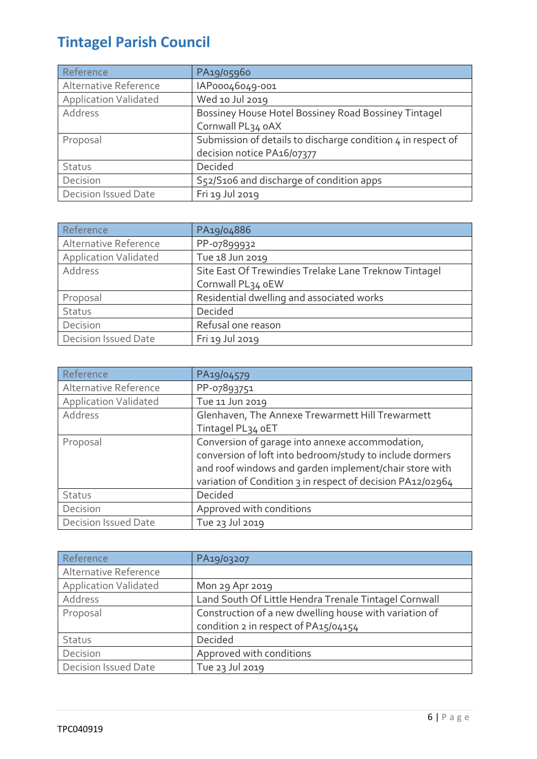| Reference                    | PA19/05960                                                   |  |  |  |
|------------------------------|--------------------------------------------------------------|--|--|--|
| Alternative Reference        | IAP00046049-001                                              |  |  |  |
| <b>Application Validated</b> | Wed 10 Jul 2019                                              |  |  |  |
| Address                      | Bossiney House Hotel Bossiney Road Bossiney Tintagel         |  |  |  |
|                              | Cornwall PL34 oAX                                            |  |  |  |
| Proposal                     | Submission of details to discharge condition 4 in respect of |  |  |  |
|                              | decision notice PA16/07377                                   |  |  |  |
| Status                       | Decided                                                      |  |  |  |
| Decision                     | S52/S106 and discharge of condition apps                     |  |  |  |
| Decision Issued Date         | Fri 19 Jul 2019                                              |  |  |  |

| Reference                                             | PA19/04886                                            |  |  |  |
|-------------------------------------------------------|-------------------------------------------------------|--|--|--|
| Alternative Reference                                 | PP-07899932                                           |  |  |  |
| <b>Application Validated</b>                          | Tue 18 Jun 2019                                       |  |  |  |
| Address                                               | Site East Of Trewindies Trelake Lane Treknow Tintagel |  |  |  |
|                                                       | Cornwall PL34 oEW                                     |  |  |  |
| Residential dwelling and associated works<br>Proposal |                                                       |  |  |  |
| Decided<br>Status                                     |                                                       |  |  |  |
| Decision                                              | Refusal one reason                                    |  |  |  |
| <b>Decision Issued Date</b>                           | Fri 19 Jul 2019                                       |  |  |  |

| Reference                    | PA19/04579                                                 |  |  |  |  |
|------------------------------|------------------------------------------------------------|--|--|--|--|
| Alternative Reference        | PP-07893751                                                |  |  |  |  |
| <b>Application Validated</b> | Tue 11 Jun 2019                                            |  |  |  |  |
| Address                      | Glenhaven, The Annexe Trewarmett Hill Trewarmett           |  |  |  |  |
|                              | Tintagel PL34 oET                                          |  |  |  |  |
| Proposal                     | Conversion of garage into annexe accommodation,            |  |  |  |  |
|                              | conversion of loft into bedroom/study to include dormers   |  |  |  |  |
|                              | and roof windows and garden implement/chair store with     |  |  |  |  |
|                              | variation of Condition 3 in respect of decision PA12/02964 |  |  |  |  |
| Status                       | Decided                                                    |  |  |  |  |
| Decision                     | Approved with conditions                                   |  |  |  |  |
| <b>Decision Issued Date</b>  | Tue 23 Jul 2019                                            |  |  |  |  |

| Reference                                                        | PA19/03207                                             |  |  |
|------------------------------------------------------------------|--------------------------------------------------------|--|--|
| Alternative Reference                                            |                                                        |  |  |
| <b>Application Validated</b>                                     | Mon 29 Apr 2019                                        |  |  |
| Land South Of Little Hendra Trenale Tintagel Cornwall<br>Address |                                                        |  |  |
| Proposal                                                         | Construction of a new dwelling house with variation of |  |  |
|                                                                  | condition 2 in respect of PA15/04154                   |  |  |
| Status                                                           | Decided                                                |  |  |
| Decision                                                         | Approved with conditions                               |  |  |
| <b>Decision Issued Date</b>                                      | Tue 23 Jul 2019                                        |  |  |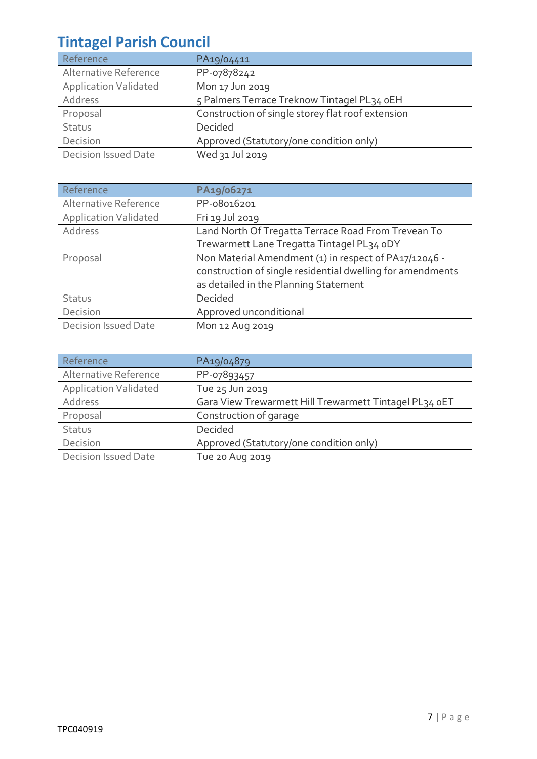| Reference                               | PA19/04411                                        |  |  |  |
|-----------------------------------------|---------------------------------------------------|--|--|--|
| Alternative Reference                   | PP-07878242                                       |  |  |  |
| <b>Application Validated</b>            | Mon 17 Jun 2019                                   |  |  |  |
| Address                                 | 5 Palmers Terrace Treknow Tintagel PL34 oEH       |  |  |  |
| Proposal                                | Construction of single storey flat roof extension |  |  |  |
| Status                                  | Decided                                           |  |  |  |
| Decision                                | Approved (Statutory/one condition only)           |  |  |  |
| Decision Issued Date<br>Wed 31 Jul 2019 |                                                   |  |  |  |

| Reference                    | PA19/06271                                                 |  |  |  |
|------------------------------|------------------------------------------------------------|--|--|--|
| Alternative Reference        | PP-08016201                                                |  |  |  |
| <b>Application Validated</b> | Fri 19 Jul 2019                                            |  |  |  |
| Address                      | Land North Of Tregatta Terrace Road From Trevean To        |  |  |  |
|                              | Trewarmett Lane Tregatta Tintagel PL34 oDY                 |  |  |  |
| Proposal                     | Non Material Amendment (1) in respect of PA17/12046 -      |  |  |  |
|                              | construction of single residential dwelling for amendments |  |  |  |
|                              | as detailed in the Planning Statement                      |  |  |  |
| Status                       | Decided                                                    |  |  |  |
| Decision                     | Approved unconditional                                     |  |  |  |
| Decision Issued Date         | Mon 12 Aug 2019                                            |  |  |  |

| Reference                                      | PA19/04879                                             |  |  |  |
|------------------------------------------------|--------------------------------------------------------|--|--|--|
| Alternative Reference                          | PP-07893457                                            |  |  |  |
| <b>Application Validated</b>                   | Tue 25 Jun 2019                                        |  |  |  |
| Address                                        | Gara View Trewarmett Hill Trewarmett Tintagel PL34 oET |  |  |  |
| Proposal                                       | Construction of garage                                 |  |  |  |
| Status                                         | Decided                                                |  |  |  |
| Decision                                       | Approved (Statutory/one condition only)                |  |  |  |
| <b>Decision Issued Date</b><br>Tue 20 Aug 2019 |                                                        |  |  |  |